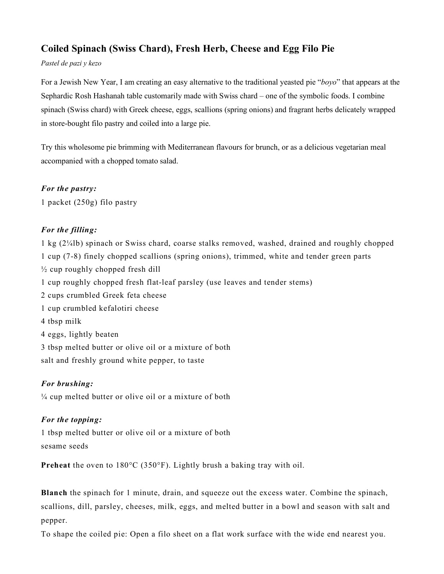# **Coiled Spinach (Swiss Chard), Fresh Herb, Cheese and Egg Filo Pie**

#### *Pastel de pazi y kezo*

For a Jewish New Year, I am creating an easy alternative to the traditional yeasted pie "*boyo*" that appears at the Sephardic Rosh Hashanah table customarily made with Swiss chard – one of the symbolic foods. I combine spinach (Swiss chard) with Greek cheese, eggs, scallions (spring onions) and fragrant herbs delicately wrapped in store-bought filo pastry and coiled into a large pie.

Try this wholesome pie brimming with Mediterranean flavours for brunch, or as a delicious vegetarian meal accompanied with a chopped tomato salad.

### *For the pastry:*

1 packet (250g) filo pastry

## *For the filling:*

1 kg (2¼lb) spinach or Swiss chard, coarse stalks removed, washed, drained and roughly chopped 1 cup (7-8) finely chopped scallions (spring onions), trimmed, white and tender green parts  $\frac{1}{2}$  cup roughly chopped fresh dill 1 cup roughly chopped fresh flat-leaf parsley (use leaves and tender stems) 2 cups crumbled Greek feta cheese 1 cup crumbled kefalotiri cheese 4 tbsp milk 4 eggs, lightly beaten 3 tbsp melted butter or olive oil or a mixture of both salt and freshly ground white pepper, to taste

### *For brushing:*

¼ cup melted butter or olive oil or a mixture of both

## *For the topping:*

1 tbsp melted butter or olive oil or a mixture of both sesame seeds

**Preheat** the oven to 180°C (350°F). Lightly brush a baking tray with oil.

**Blanch** the spinach for 1 minute, drain, and squeeze out the excess water. Combine the spinach, scallions, dill, parsley, cheeses, milk, eggs, and melted butter in a bowl and season with salt and pepper.

To shape the coiled pie: Open a filo sheet on a flat work surface with the wide end nearest you.